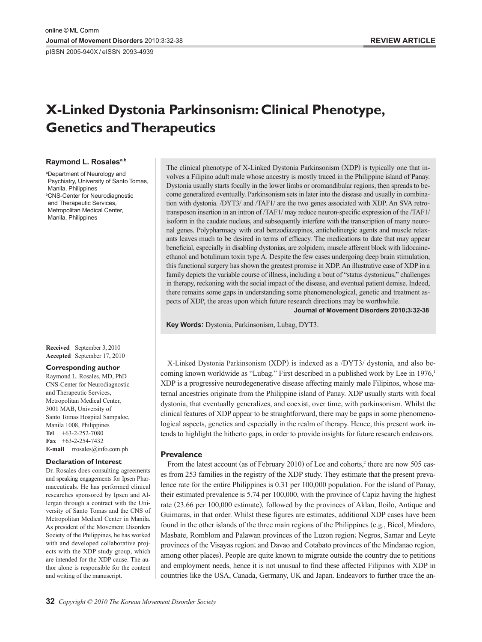pISSN 2005-940X / eISSN 2093-4939

# **X-Linked Dystonia Parkinsonism: Clinical Phenotype, Genetics and Therapeutics**

### **Raymond L. Rosalesa,b**

a Department of Neurology and Psychiatry, University of Santo Tomas, Manila, Philippines b CNS-Center for Neurodiagnostic and Therapeutic Services, Metropolitan Medical Center, Manila, Philippines

**Received**  September 3, 2010 **Accepted**  September 17, 2010

#### **Corresponding author**

Raymond L. Rosales, MD, PhD CNS-Center for Neurodiagnostic and Therapeutic Services, Metropolitan Medical Center, 3001 MAB, University of Santo Tomas Hospital Sampaloc, Manila 1008, Philippines **Tel** +63-2-252-7080 **Fax** +63-2-254-7432 **E-mail** rrosales@info.com.ph

#### **Declaration of Interest**

Dr. Rosales does consulting agreements and speaking engagements for Ipsen Pharmaceuticals. He has performed clinical researches sponsored by Ipsen and Allergan through a contract with the University of Santo Tomas and the CNS of Metropolitan Medical Center in Manila. As president of the Movement Disorders Society of the Philippines, he has worked with and developed collaborative projects with the XDP study group, which are intended for the XDP cause. The author alone is responsible for the content and writing of the manuscript.

The clinical phenotype of X-Linked Dystonia Parkinsonism (XDP) is typically one that involves a Filipino adult male whose ancestry is mostly traced in the Philippine island of Panay. Dystonia usually starts focally in the lower limbs or oromandibular regions, then spreads to become generalized eventually. Parkinsonism sets in later into the disease and usually in combination with dystonia. /DYT3/ and /TAF1/ are the two genes associated with XDP. An SVA retrotransposon insertion in an intron of /TAF1/ may reduce neuron-specific expression of the /TAF1/ isoform in the caudate nucleus, and subsequently interfere with the transcription of many neuronal genes. Polypharmacy with oral benzodiazepines, anticholinergic agents and muscle relaxants leaves much to be desired in terms of efficacy. The medications to date that may appear beneficial, especially in disabling dystonias, are zolpidem, muscle afferent block with lidocaineethanol and botulinum toxin type A. Despite the few cases undergoing deep brain stimulation, this functional surgery has shown the greatest promise in XDP. An illustrative case of XDP in a family depicts the variable course of illness, including a bout of "status dystonicus," challenges in therapy, reckoning with the social impact of the disease, and eventual patient demise. Indeed, there remains some gaps in understanding some phenomenological, genetic and treatment aspects of XDP, the areas upon which future research directions may be worthwhile.

**Journal of Movement Disorders 2010;3:32-38**

**Key Words:** Dystonia, Parkinsonism, Lubag, DYT3.

X-Linked Dystonia Parkinsonism (XDP) is indexed as a /DYT3/ dystonia, and also becoming known worldwide as "Lubag." First described in a published work by Lee in 1976,<sup>1</sup> XDP is a progressive neurodegenerative disease affecting mainly male Filipinos, whose maternal ancestries originate from the Philippine island of Panay. XDP usually starts with focal dystonia, that eventually generalizes, and coexist, over time, with parkinsonism. Whilst the clinical features of XDP appear to be straightforward, there may be gaps in some phenomenological aspects, genetics and especially in the realm of therapy. Hence, this present work intends to highlight the hitherto gaps, in order to provide insights for future research endeavors.

# **Prevalence**

From the latest account (as of February 2010) of Lee and cohorts,<sup>2</sup> there are now 505 cases from 253 families in the registry of the XDP study. They estimate that the present prevalence rate for the entire Philippines is 0.31 per 100,000 population. For the island of Panay, their estimated prevalence is 5.74 per 100,000, with the province of Capiz having the highest rate (23.66 per 100,000 estimate), followed by the provinces of Aklan, Iloilo, Antique and Guimaras, in that order. Whilst these figures are estimates, additional XDP cases have been found in the other islands of the three main regions of the Philippines (e.g., Bicol, Mindoro, Masbate, Romblom and Palawan provinces of the Luzon region; Negros, Samar and Leyte provinces of the Visayas region; and Davao and Cotabato provinces of the Mindanao region, among other places). People are quite known to migrate outside the country due to petitions and employment needs, hence it is not unusual to find these affected Filipinos with XDP in countries like the USA, Canada, Germany, UK and Japan. Endeavors to further trace the an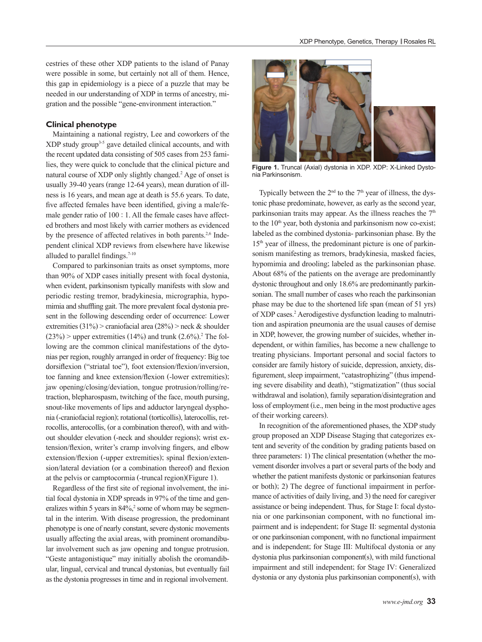cestries of these other XDP patients to the island of Panay were possible in some, but certainly not all of them. Hence, this gap in epidemiology is a piece of a puzzle that may be needed in our understanding of XDP in terms of ancestry, migration and the possible "gene-environment interaction."

# **Clinical phenotype**

Maintaining a national registry, Lee and coworkers of the XDP study group3-5 gave detailed clinical accounts, and with the recent updated data consisting of 505 cases from 253 families, they were quick to conclude that the clinical picture and natural course of XDP only slightly changed.<sup>2</sup> Age of onset is usually 39-40 years (range 12-64 years), mean duration of illness is 16 years, and mean age at death is 55.6 years. To date, five affected females have been identified, giving a male/female gender ratio of 100 : 1. All the female cases have affected brothers and most likely with carrier mothers as evidenced by the presence of affected relatives in both parents.<sup>2,6</sup> Independent clinical XDP reviews from elsewhere have likewise alluded to parallel findings.<sup>7-10</sup>

Compared to parkinsonian traits as onset symptoms, more than 90% of XDP cases initially present with focal dystonia, when evident, parkinsonism typically manifests with slow and periodic resting tremor, bradykinesia, micrographia, hypomimia and shuffling gait. The more prevalent focal dystonia present in the following descending order of occurrence: Lower extremities  $(31\%)$  > craniofacial area  $(28\%)$  > neck & shoulder  $(23%)$  > upper extremities  $(14%)$  and trunk  $(2.6%)$ .<sup>2</sup> The following are the common clinical manifestations of the dytonias per region, roughly arranged in order of frequency: Big toe dorsiflexion ("striatal toe"), foot extension/flexion/inversion, toe fanning and knee extension/flexion (-lower extremities); jaw opening/closing/deviation, tongue protrusion/rolling/retraction, blepharospasm, twitching of the face, mouth pursing, snout-like movements of lips and adductor laryngeal dysphonia (-craniofacial region); rotational (torticollis), laterocollis, retrocollis, anterocollis, (or a combination thereof), with and without shoulder elevation (-neck and shoulder regions); wrist extension/flexion, writer's cramp involving fingers, and elbow extension/flexion (-upper extremities); spinal flexion/extension/lateral deviation (or a combination thereof) and flexion at the pelvis or camptocormia (-truncal region)(Figure 1).

Regardless of the first site of regional involvement, the initial focal dystonia in XDP spreads in 97% of the time and generalizes within 5 years in  $84\%$ <sup>2</sup> some of whom may be segmental in the interim. With disease progression, the predominant phenotype is one of nearly constant, severe dystonic movements usually affecting the axial areas, with prominent oromandibular involvement such as jaw opening and tongue protrusion. "Geste antagonistique" may initially abolish the oromandibular, lingual, cervical and truncal dystonias, but eventually fail as the dystonia progresses in time and in regional involvement.



**Figure 1.** Truncal (Axial) dystonia in XDP. XDP: X-Linked Dystonia Parkinsonism.

Typically between the  $2<sup>nd</sup>$  to the  $7<sup>th</sup>$  year of illness, the dystonic phase predominate, however, as early as the second year, parkinsonian traits may appear. As the illness reaches the  $7<sup>th</sup>$ to the 10<sup>th</sup> year, both dystonia and parkinsonism now co-exist; labeled as the combined dystonia- parkinsonian phase. By the 15<sup>th</sup> year of illness, the predominant picture is one of parkinsonism manifesting as tremors, bradykinesia, masked facies, hypomimia and drooling; labeled as the parkinsonian phase. About 68% of the patients on the average are predominantly dystonic throughout and only 18.6% are predominantly parkinsonian. The small number of cases who reach the parkinsonian phase may be due to the shortened life span (mean of 51 yrs) of XDP cases.<sup>2</sup> Aerodigestive dysfunction leading to malnutrition and aspiration pneumonia are the usual causes of demise in XDP, however, the growing number of suicides, whether independent, or within families, has become a new challenge to treating physicians. Important personal and social factors to consider are family history of suicide, depression, anxiety, disfigurement, sleep impairment, "catastrophizing" (thus impending severe disability and death), "stigmatization" (thus social withdrawal and isolation), family separation/disintegration and loss of employment (i.e., men being in the most productive ages of their working careers).

In recognition of the aforementioned phases, the XDP study group proposed an XDP Disease Staging that categorizes extent and severity of the condition by grading patients based on three parameters: 1) The clinical presentation (whether the movement disorder involves a part or several parts of the body and whether the patient manifests dystonic or parkinsonian features or both); 2) The degree of functional impairment in performance of activities of daily living, and 3) the need for caregiver assistance or being independent. Thus, for Stage I: focal dystonia or one parkinsonian component, with no functional impairment and is independent; for Stage II: segmental dystonia or one parkinsonian component, with no functional impairment and is independent; for Stage III: Multifocal dystonia or any dystonia plus parkinsonian component(s), with mild functional impairment and still independent; for Stage IV: Generalized dystonia or any dystonia plus parkinsonian component(s), with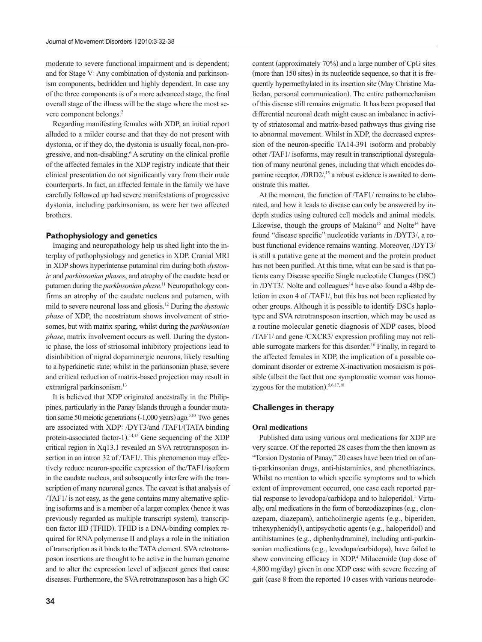moderate to severe functional impairment and is dependent; and for Stage V: Any combination of dystonia and parkinsonism components, bedridden and highly dependent. In case any of the three components is of a more advanced stage, the final overall stage of the illness will be the stage where the most severe component belongs.<sup>2</sup>

Regarding manifesting females with XDP, an initial report alluded to a milder course and that they do not present with dystonia, or if they do, the dystonia is usually focal, non-progressive, and non-disabling.<sup>6</sup> A scrutiny on the clinical profile of the affected females in the XDP registry indicate that their clinical presentation do not significantly vary from their male counterparts. In fact, an affected female in the family we have carefully followed up had severe manifestations of progressive dystonia, including parkinsonism, as were her two affected brothers.

## **Pathophysiology and genetics**

Imaging and neuropathology help us shed light into the interplay of pathophysiology and genetics in XDP. Cranial MRI in XDP shows hyperintense putaminal rim during both *dystonic* and *parkinsonian phases*, and atrophy of the caudate head or putamen during the *parkinsonian phase*. 11 Neuropathology confirms an atrophy of the caudate nucleus and putamen, with mild to severe neuronal loss and gliosis.12 During the *dystonic phase* of XDP, the neostriatum shows involvement of striosomes, but with matrix sparing, whilst during the *parkinsonian phase*, matrix involvement occurs as well. During the dystonic phase, the loss of striosomal inhibitory projections lead to disinhibition of nigral dopaminergic neurons, likely resulting to a hyperkinetic state; whilst in the parkinsonian phase, severe and critical reduction of matrix-based projection may result in extranigral parkinsonism.<sup>13</sup>

It is believed that XDP originated ancestrally in the Philippines, particularly in the Panay Islands through a founder mutation some 50 meiotic generations  $(-1,000 \text{ years})$  ago.<sup>5,10</sup> Two genes are associated with XDP: /DYT3/and /TAF1/(TATA binding protein-associated factor-1). 14,15 Gene sequencing of the XDP critical region in Xq13.1 revealed an SVA retrotransposon insertion in an intron 32 of /TAF1/. This phenomenon may effectively reduce neuron-specific expression of the/TAF1/isoform in the caudate nucleus, and subsequently interfere with the transcription of many neuronal genes. The caveat is that analysis of /TAF1/ is not easy, as the gene contains many alternative splicing isoforms and is a member of a larger complex (hence it was previously regarded as multiple transcript system), transcription factor IID (TFIID). TFIID is a DNA-binding complex required for RNA polymerase II and plays a role in the initiation of transcription as it binds to the TATA element. SVA retrotransposon insertions are thought to be active in the human genome and to alter the expression level of adjacent genes that cause diseases. Furthermore, the SVA retrotransposon has a high GC

content (approximately 70%) and a large number of CpG sites (more than 150 sites) in its nucleotide sequence, so that it is frequently hypermethylated in its insertion site (May Christine Malicdan, personal communication). The entire pathomechanism of this disease still remains enigmatic. It has been proposed that differential neuronal death might cause an imbalance in activity of striatosomal and matrix-based pathways thus giving rise to abnormal movement. Whilst in XDP, the decreased expression of the neuron-specific TA14-391 isoform and probably other /TAF1/ isoforms, may result in transcriptional dysregulation of many neuronal genes, including that which encodes dopamine receptor,  $/DRD2/15$  a robust evidence is awaited to demonstrate this matter.

At the moment, the function of /TAF1/ remains to be elaborated, and how it leads to disease can only be answered by indepth studies using cultured cell models and animal models. Likewise, though the groups of Makino<sup>15</sup> and Nolte<sup>14</sup> have found "disease specific" nucleotide variants in /DYT3/, a robust functional evidence remains wanting. Moreover, /DYT3/ is still a putative gene at the moment and the protein product has not been purified. At this time, what can be said is that patients carry Disease specific Single nucleotide Changes (DSC) in  $\langle$ DYT3 $\rangle$ . Nolte and colleagues<sup>14</sup> have also found a 48bp deletion in exon 4 of /TAF1/, but this has not been replicated by other groups. Although it is possible to identify DSCs haplotype and SVA retrotransposon insertion, which may be used as a routine molecular genetic diagnosis of XDP cases, blood /TAF1/ and gene /CXCR3/ expression profiling may not reliable surrogate markers for this disorder.16 Finally, in regard to the affected females in XDP, the implication of a possible codominant disorder or extreme X-inactivation mosaicism is possible (albeit the fact that one symptomatic woman was homozygous for the mutation).<sup>5,6,17,18</sup>

# **Challenges in therapy**

# **Oral medications**

Published data using various oral medications for XDP are very scarce. Of the reported 28 cases from the then known as "Torsion Dystonia of Panay," 20 cases have been tried on of anti-parkinsonian drugs, anti-histaminics, and phenothiazines. Whilst no mention to which specific symptoms and to which extent of improvement occurred, one case each reported partial response to levodopa/carbidopa and to haloperidol.<sup>1</sup> Virtually, oral medications in the form of benzodiazepines (e.g., clonazepam, diazepam), anticholinergic agents (e.g., biperiden, trihexyphenidyl), antipsychotic agents (e.g., haloperidol) and antihistamines (e.g., diphenhydramine), including anti-parkinsonian medications (e.g., levodopa/carbidopa), have failed to show convincing efficacy in XDP.<sup>4</sup> Milacemide (top dose of 4,800 mg/day) given in one XDP case with severe freezing of gait (case 8 from the reported 10 cases with various neurode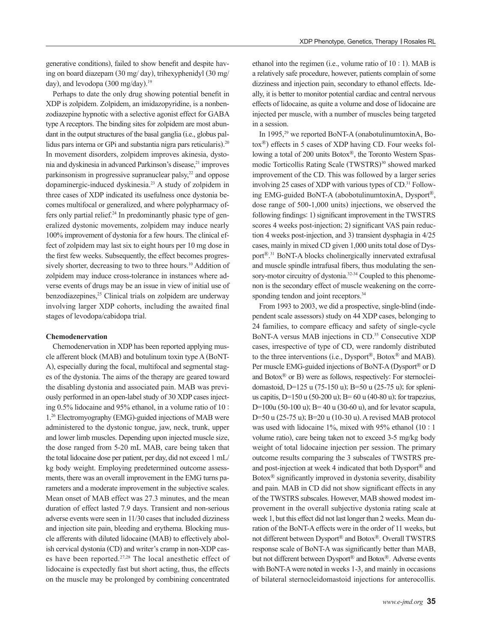generative conditions), failed to show benefit and despite having on board diazepam (30 mg/ day), trihexyphenidyl (30 mg/ day), and levodopa (300 mg/day). 19

Perhaps to date the only drug showing potential benefit in XDP is zolpidem. Zolpidem, an imidazopyridine, is a nonbenzodiazepine hypnotic with a selective agonist effect for GABA type A receptors. The binding sites for zolpidem are most abundant in the output structures of the basal ganglia (i.e., globus pallidus pars interna or GPi and substantia nigra pars reticularis).<sup>20</sup> In movement disorders, zolpidem improves akinesia, dystonia and dyskinesia in advanced Parkinson's disease,<sup>21</sup> improves parkinsonism in progressive supranuclear palsy,<sup>22</sup> and oppose dopaminergic-induced dyskinesia.23 A study of zolpidem in three cases of XDP indicated its usefulness once dystonia becomes multifocal or generalized, and where polypharmacy offers only partial relief. $24$  In predominantly phasic type of generalized dystonic movements, zolpidem may induce nearly 100% improvement of dystonia for a few hours. The clinical effect of zolpidem may last six to eight hours per 10 mg dose in the first few weeks. Subsequently, the effect becomes progressively shorter, decreasing to two to three hours.<sup>10</sup> Addition of zolpidem may induce cross-tolerance in instances where adverse events of drugs may be an issue in view of initial use of benzodiazepines,<sup>25</sup> Clinical trials on zolpidem are underway involving larger XDP cohorts, including the awaited final stages of levodopa/cabidopa trial.

#### **Chemodenervation**

Chemodenervation in XDP has been reported applying muscle afferent block (MAB) and botulinum toxin type A (BoNT-A), especially during the focal, multifocal and segmental stages of the dystonia. The aims of the therapy are geared toward the disabling dystonia and associated pain. MAB was previously performed in an open-label study of 30 XDP cases injecting 0.5% lidocaine and 95% ethanol, in a volume ratio of 10 : 1.26 Electromyography (EMG)-guided injections of MAB were administered to the dystonic tongue, jaw, neck, trunk, upper and lower limb muscles. Depending upon injected muscle size, the dose ranged from 5-20 mL MAB, care being taken that the total lidocaine dose per patient, per day, did not exceed 1 mL/ kg body weight. Employing predetermined outcome assessments, there was an overall improvement in the EMG turns parameters and a moderate improvement in the subjective scales. Mean onset of MAB effect was 27.3 minutes, and the mean duration of effect lasted 7.9 days. Transient and non-serious adverse events were seen in 11/30 cases that included dizziness and injection site pain, bleeding and erythema. Blocking muscle afferents with diluted lidocaine (MAB) to effectively abolish cervical dystonia (CD) and writer's cramp in non-XDP cases have been reported.27,28 The local anesthetic effect of lidocaine is expectedly fast but short acting, thus, the effects on the muscle may be prolonged by combining concentrated

ethanol into the regimen (i.e., volume ratio of 10 : 1). MAB is a relatively safe procedure, however, patients complain of some dizziness and injection pain, secondary to ethanol effects. Ideally, it is better to monitor potential cardiac and central nervous effects of lidocaine, as quite a volume and dose of lidocaine are injected per muscle, with a number of muscles being targeted in a session.

In 1995, $29$  we reported BoNT-A (onabotulinumtoxinA, Botox®) effects in 5 cases of XDP having CD. Four weeks following a total of 200 units Botox®, the Toronto Western Spasmodic Torticollis Rating Scale (TWSTRS)<sup>30</sup> showed marked improvement of the CD. This was followed by a larger series involving 25 cases of XDP with various types of CD.<sup>31</sup> Following EMG-guided BoNT-A (abobotulinumtoxinA, Dysport®, dose range of 500-1,000 units) injections, we observed the following findings: 1) significant improvement in the TWSTRS scores 4 weeks post-injection; 2) significant VAS pain reduction 4 weeks post-injection, and 3) transient dysphagia in 4/25 cases, mainly in mixed CD given 1,000 units total dose of Dysport®. 31 BoNT-A blocks cholinergically innervated extrafusal and muscle spindle intrafusal fibers, thus modulating the sensory-motor circuitry of dystonia.<sup>32-34</sup> Coupled to this phenomenon is the secondary effect of muscle weakening on the corresponding tendon and joint receptors.<sup>34</sup>

From 1993 to 2003, we did a prospective, single-blind (independent scale assessors) study on 44 XDP cases, belonging to 24 families, to compare efficacy and safety of single-cycle BoNT-A versus MAB injections in CD.<sup>35</sup> Consecutive XDP cases, irrespective of type of CD, were randomly distributed to the three interventions (i.e., Dysport®, Botox® and MAB). Per muscle EMG-guided injections of BoNT-A (Dysport® or D and Botox® or B) were as follows, respectively: For sternocleidomastoid, D=125 u (75-150 u); B=50 u (25-75 u); for splenius capitis, D=150 u (50-200 u); B= 60 u (40-80 u); for trapezius, D=100u (50-100 u); B= 40 u (30-60 u), and for levator scapula, D=50 u (25-75 u); B=20 u (10-30 u). A revised MAB protocol was used with lidocaine 1%, mixed with 95% ethanol (10 : 1 volume ratio), care being taken not to exceed 3-5 mg/kg body weight of total lidocaine injection per session. The primary outcome results comparing the 3 subscales of TWSTRS preand post-injection at week 4 indicated that both Dysport® and Botox® significantly improved in dystonia severity, disability and pain. MAB in CD did not show significant effects in any of the TWSTRS subscales. However, MAB showed modest improvement in the overall subjective dystonia rating scale at week 1, but this effect did not last longer than 2 weeks. Mean duration of the BoNT-A effects were in the order of 11 weeks, but not different between Dysport® and Botox®. Overall TWSTRS response scale of BoNT-A was significantly better than MAB, but not different between Dysport® and Botox®. Adverse events with BoNT-A were noted in weeks 1-3, and mainly in occasions of bilateral sternocleidomastoid injections for anterocollis.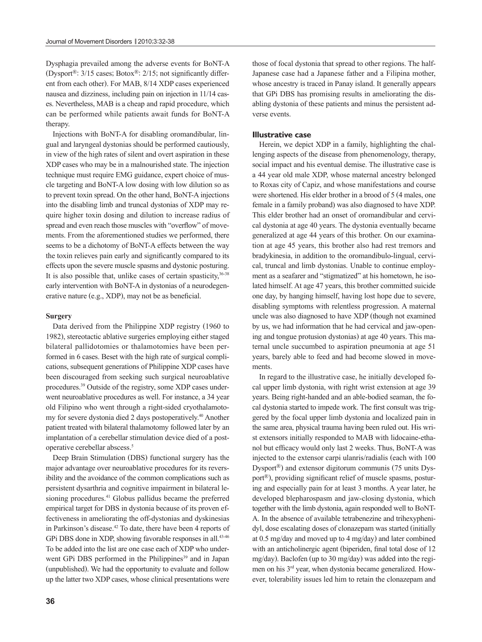Dysphagia prevailed among the adverse events for BoNT-A (Dysport®: 3/15 cases; Botox®: 2/15; not significantly different from each other). For MAB, 8/14 XDP cases experienced nausea and dizziness, including pain on injection in 11/14 cases. Nevertheless, MAB is a cheap and rapid procedure, which can be performed while patients await funds for BoNT-A therapy.

Injections with BoNT-A for disabling oromandibular, lingual and laryngeal dystonias should be performed cautiously, in view of the high rates of silent and overt aspiration in these XDP cases who may be in a malnourished state. The injection technique must require EMG guidance, expert choice of muscle targeting and BoNT-A low dosing with low dilution so as to prevent toxin spread. On the other hand, BoNT-A injections into the disabling limb and truncal dystonias of XDP may require higher toxin dosing and dilution to increase radius of spread and even reach those muscles with "overflow" of movements. From the aforementioned studies we performed, there seems to be a dichotomy of BoNT-A effects between the way the toxin relieves pain early and significantly compared to its effects upon the severe muscle spasms and dystonic posturing. It is also possible that, unlike cases of certain spasticity,  $36-38$ early intervention with BoNT-A in dystonias of a neurodegenerative nature (e.g., XDP), may not be as beneficial.

#### **Surgery**

Data derived from the Philippine XDP registry (1960 to 1982), stereotactic ablative surgeries employing either staged bilateral pallidotomies or thalamotomies have been performed in 6 cases. Beset with the high rate of surgical complications, subsequent generations of Philippine XDP cases have been discouraged from seeking such surgical neuroablative procedures.39 Outside of the registry, some XDP cases underwent neuroablative procedures as well. For instance, a 34 year old Filipino who went through a right-sided cryothalamotomy for severe dystonia died 2 days postoperatively.<sup>40</sup> Another patient treated with bilateral thalamotomy followed later by an implantation of a cerebellar stimulation device died of a postoperative cerebellar abscess.5

Deep Brain Stimulation (DBS) functional surgery has the major advantage over neuroablative procedures for its reversibility and the avoidance of the common complications such as persistent dysarthria and cognitive impairment in bilateral lesioning procedures.<sup>41</sup> Globus pallidus became the preferred empirical target for DBS in dystonia because of its proven effectiveness in ameliorating the off-dystonias and dyskinesias in Parkinson's disease.<sup>42</sup> To date, there have been 4 reports of GPi DBS done in XDP, showing favorable responses in all.<sup>43-46</sup> To be added into the list are one case each of XDP who underwent GPi DBS performed in the Philippines<sup>39</sup> and in Japan (unpublished). We had the opportunity to evaluate and follow up the latter two XDP cases, whose clinical presentations were

those of focal dystonia that spread to other regions. The half-Japanese case had a Japanese father and a Filipina mother, whose ancestry is traced in Panay island. It generally appears that GPi DBS has promising results in ameliorating the disabling dystonia of these patients and minus the persistent adverse events.

#### **Illustrative case**

Herein, we depict XDP in a family, highlighting the challenging aspects of the disease from phenomenology, therapy, social impact and his eventual demise. The illustrative case is a 44 year old male XDP, whose maternal ancestry belonged to Roxas city of Capiz, and whose manifestations and course were shortened. His elder brother in a brood of 5 (4 males, one female in a family proband) was also diagnosed to have XDP. This elder brother had an onset of oromandibular and cervical dystonia at age 40 years. The dystonia eventually became generalized at age 44 years of this brother. On our examination at age 45 years, this brother also had rest tremors and bradykinesia, in addition to the oromandibulo-lingual, cervical, truncal and limb dystonias. Unable to continue employment as a seafarer and "stigmatized" at his hometown, he isolated himself. At age 47 years, this brother committed suicide one day, by hanging himself, having lost hope due to severe, disabling symptoms with relentless progression. A maternal uncle was also diagnosed to have XDP (though not examined by us, we had information that he had cervical and jaw-opening and tongue protusion dystonias) at age 40 years. This maternal uncle succumbed to aspiration pneumonia at age 51 years, barely able to feed and had become slowed in movements.

In regard to the illustrative case, he initially developed focal upper limb dystonia, with right wrist extension at age 39 years. Being right-handed and an able-bodied seaman, the focal dystonia started to impede work. The first consult was triggered by the focal upper limb dystonia and localized pain in the same area, physical trauma having been ruled out. His wrist extensors initially responded to MAB with lidocaine-ethanol but efficacy would only last 2 weeks. Thus, BoNT-A was injected to the extensor carpi ulanris/radialis (each with 100 Dysport®) and extensor digitorum communis (75 units Dysport®), providing significant relief of muscle spasms, posturing and especially pain for at least 3 months. A year later, he developed blepharospasm and jaw-closing dystonia, which together with the limb dystonia, again responded well to BoNT-A. In the absence of available tetrabenezine and trihexyphenidyl, dose escalating doses of clonazepam was started (initially at 0.5 mg/day and moved up to 4 mg/day) and later combined with an anticholinergic agent (biperiden, final total dose of 12 mg/day). Baclofen (up to 30 mg/day) was added into the regimen on his 3rd year, when dystonia became generalized. However, tolerability issues led him to retain the clonazepam and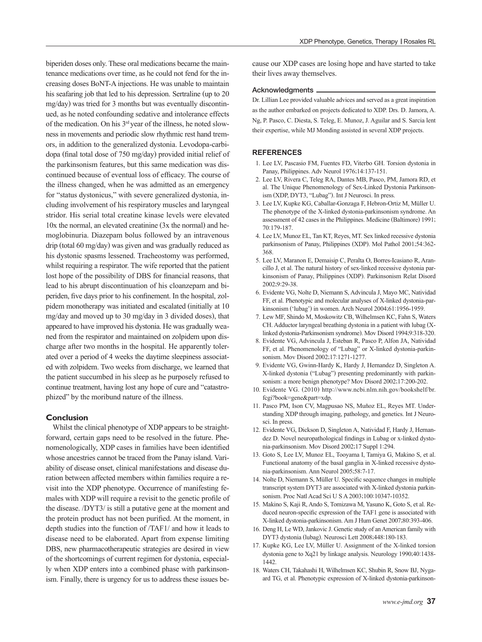biperiden doses only. These oral medications became the maintenance medications over time, as he could not fend for the increasing doses BoNT-A injections. He was unable to maintain his seafaring job that led to his depression. Sertraline (up to 20 mg/day) was tried for 3 months but was eventually discontinued, as he noted confounding sedative and intolerance effects of the medication. On his 3rd year of the illness, he noted slowness in movements and periodic slow rhythmic rest hand tremors, in addition to the generalized dystonia. Levodopa-carbidopa (final total dose of 750 mg/day) provided initial relief of the parkinsonism features, but this same medication was discontinued because of eventual loss of efficacy. The course of the illness changed, when he was admitted as an emergency for "status dystonicus," with severe generalized dystonia, including involvement of his respiratory muscles and laryngeal stridor. His serial total creatine kinase levels were elevated 10x the normal, an elevated creatinine (3x the normal) and hemoglobinuria. Diazepam bolus followed by an intravenous drip (total 60 mg/day) was given and was gradually reduced as his dystonic spasms lessened. Tracheostomy was performed, whilst requiring a respirator. The wife reported that the patient lost hope of the possibility of DBS for financial reasons, that lead to his abrupt discontinuation of his cloanzepam and biperiden, five days prior to his confinement. In the hospital, zolpidem monotherapy was initiated and escalated (initially at 10 mg/day and moved up to 30 mg/day in 3 divided doses), that appeared to have improved his dystonia. He was gradually weaned from the respirator and maintained on zolpidem upon discharge after two months in the hospital. He apparently tolerated over a period of 4 weeks the daytime sleepiness associated with zolpidem. Two weeks from discharge, we learned that the patient succumbed in his sleep as he purposely refused to continue treatment, having lost any hope of cure and "catastrophized" by the moribund nature of the illness.

# **Conclusion**

Whilst the clinical phenotype of XDP appears to be straightforward, certain gaps need to be resolved in the future. Phenomenologically, XDP cases in families have been identified whose ancestries cannot be traced from the Panay island. Variability of disease onset, clinical manifestations and disease duration between affected members within families require a revisit into the XDP phenotype. Occurrence of manifesting females with XDP will require a revisit to the genetic profile of the disease. /DYT3/ is still a putative gene at the moment and the protein product has not been purified. At the moment, in depth studies into the function of /TAF1/ and how it leads to disease need to be elaborated. Apart from expense limiting DBS, new pharmacotherapeutic strategies are desired in view of the shortcomings of current regimen for dystonia, especially when XDP enters into a combined phase with parkinsonism. Finally, there is urgency for us to address these issues because our XDP cases are losing hope and have started to take their lives away themselves.

### Acknowledgments

Dr. Lillian Lee provided valuable advices and served as a great inspiration as the author embarked on projects dedicated to XDP. Drs. D. Jamora, A. Ng, P. Pasco, C. Diesta, S. Teleg, E. Munoz, J. Aguilar and S. Sarcia lent their expertise, while MJ Monding assisted in several XDP projects.

## **REFERENCES**

- 1. Lee LV, Pascasio FM, Fuentes FD, Viterbo GH. Torsion dystonia in Panay, Philippines. Adv Neurol 1976;14:137-151.
- 2. Lee LV, Rivera C, Teleg RA, Dantes MB, Pasco, PM, Jamora RD, et al. The Unique Phenomenology of Sex-Linked Dystonia Parkinsonism (XDP, DYT3, "Lubag"). Int J Neurosci. In press.
- 3. Lee LV, Kupke KG, Caballar-Gonzaga F, Hebron-Ortiz M, Müller U. The phenotype of the X-linked dystonia-parkinsonism syndrome. An assessment of 42 cases in the Philippines. Medicine (Baltimore) 1991; 70:179-187.
- 4. Lee LV, Munoz EL, Tan KT, Reyes, MT. Sex linked recessive dystonia parkinsonism of Panay, Philippines (XDP). Mol Pathol 2001;54:362- 368.
- 5. Lee LV, Maranon E, Demaisip C, Peralta O, Borres-Icasiano R, Arancillo J, et al. The natural history of sex-linked recessive dystonia parkinsonism of Panay, Philippines (XDP). Parkinsonism Relat Disord 2002;9:29-38.
- 6. Evidente VG, Nolte D, Niemann S, Advincula J, Mayo MC, Natividad FF, et al. Phenotypic and molecular analyses of X-linked dystonia-parkinsonism ('lubag') in women. Arch Neurol 2004;61:1956-1959.
- 7. Lew MF, Shindo M, Moskowitz CB, Wilhelmsen KC, Fahn S, Waters CH. Adductor laryngeal breathing dystonia in a patient with lubag (Xlinked dystonia-Parkinsonism syndrome). Mov Disord 1994;9:318-320.
- 8. Evidente VG, Advincula J, Esteban R, Pasco P, Alfon JA, Natividad FF, et al. Phenomenology of "Lubag" or X-linked dystonia-parkinsonism. Mov Disord 2002;17:1271-1277.
- 9. Evidente VG, Gwinn-Hardy K, Hardy J, Hernandez D, Singleton A. X-linked dystonia ("Lubag") presenting predominantly with parkinsonism: a more benign phenotype? Mov Disord 2002;17:200-202.
- 10. Evidente VG. (2010) http://www.ncbi.nlm.nih.gov/bookshelf/br. fcgi?book=gene&part=xdp.
- 11. Pasco PM, Ison CV, Magpusao NS, Muňoz EL, Reyes MT. Understanding XDP through imaging, pathology, and genetics. Int J Neurosci. In press.
- 12. Evidente VG, Dickson D, Singleton A, Natividad F, Hardy J, Hernandez D. Novel neuropathological findings in Lubag or x-linked dystonia-parkinsonism. Mov Disord 2002;17 Suppl 1:294.
- 13. Goto S, Lee LV, Munoz EL, Tooyama I, Tamiya G, Makino S, et al. Functional anatomy of the basal ganglia in X-linked recessive dystonia-parkinsonism. Ann Neurol 2005;58:7-17.
- 14. Nolte D, Niemann S, Müller U. Specific sequence changes in multiple transcript system DYT3 are associated with X-linked dystonia parkinsonism. Proc Natl Acad Sci U S A 2003;100:10347-10352.
- 15. Makino S, Kaji R, Ando S, Tomizawa M, Yasuno K, Goto S, et al. Reduced neuron-specific expression of the TAF1 gene is associated with X-linked dystonia-parkinsonism. Am J Hum Genet 2007;80:393-406.
- 16. Deng H, Le WD, Jankovic J. Genetic study of an American family with DYT3 dystonia (lubag). Neurosci Lett 2008;448:180-183.
- 17. Kupke KG, Lee LV, Müller U. Assignment of the X-linked torsion dystonia gene to Xq21 by linkage analysis. Neurology 1990;40:1438- 1442.
- 18. Waters CH, Takahashi H, Wilhelmsen KC, Shubin R, Snow BJ, Nygaard TG, et al. Phenotypic expression of X-linked dystonia-parkinson-